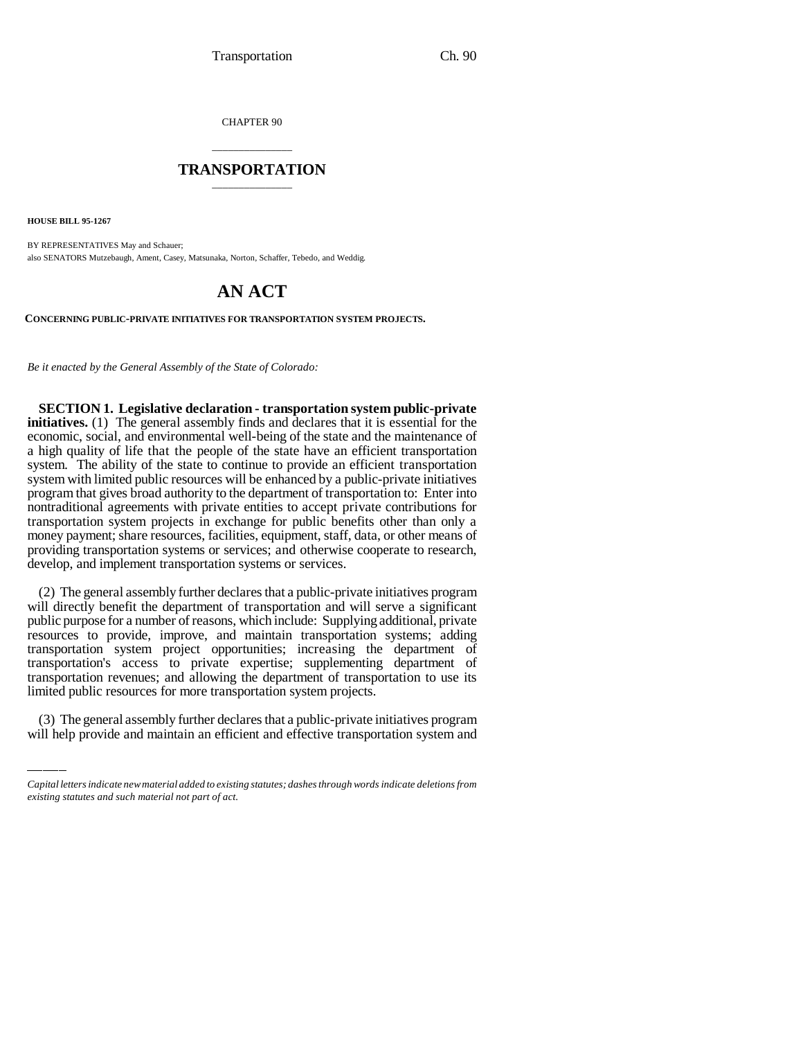CHAPTER 90

## \_\_\_\_\_\_\_\_\_\_\_\_\_\_\_ **TRANSPORTATION** \_\_\_\_\_\_\_\_\_\_\_\_\_\_\_

**HOUSE BILL 95-1267**

BY REPRESENTATIVES May and Schauer; also SENATORS Mutzebaugh, Ament, Casey, Matsunaka, Norton, Schaffer, Tebedo, and Weddig.

# **AN ACT**

**CONCERNING PUBLIC-PRIVATE INITIATIVES FOR TRANSPORTATION SYSTEM PROJECTS.**

*Be it enacted by the General Assembly of the State of Colorado:*

**SECTION 1. Legislative declaration - transportation system public-private initiatives.** (1) The general assembly finds and declares that it is essential for the economic, social, and environmental well-being of the state and the maintenance of a high quality of life that the people of the state have an efficient transportation system. The ability of the state to continue to provide an efficient transportation system with limited public resources will be enhanced by a public-private initiatives program that gives broad authority to the department of transportation to: Enter into nontraditional agreements with private entities to accept private contributions for transportation system projects in exchange for public benefits other than only a money payment; share resources, facilities, equipment, staff, data, or other means of providing transportation systems or services; and otherwise cooperate to research, develop, and implement transportation systems or services.

transportation revenues; and allowing the department of transportation to use its (2) The general assembly further declares that a public-private initiatives program will directly benefit the department of transportation and will serve a significant public purpose for a number of reasons, which include: Supplying additional, private resources to provide, improve, and maintain transportation systems; adding transportation system project opportunities; increasing the department of transportation's access to private expertise; supplementing department of limited public resources for more transportation system projects.

(3) The general assembly further declares that a public-private initiatives program will help provide and maintain an efficient and effective transportation system and

*Capital letters indicate new material added to existing statutes; dashes through words indicate deletions from existing statutes and such material not part of act.*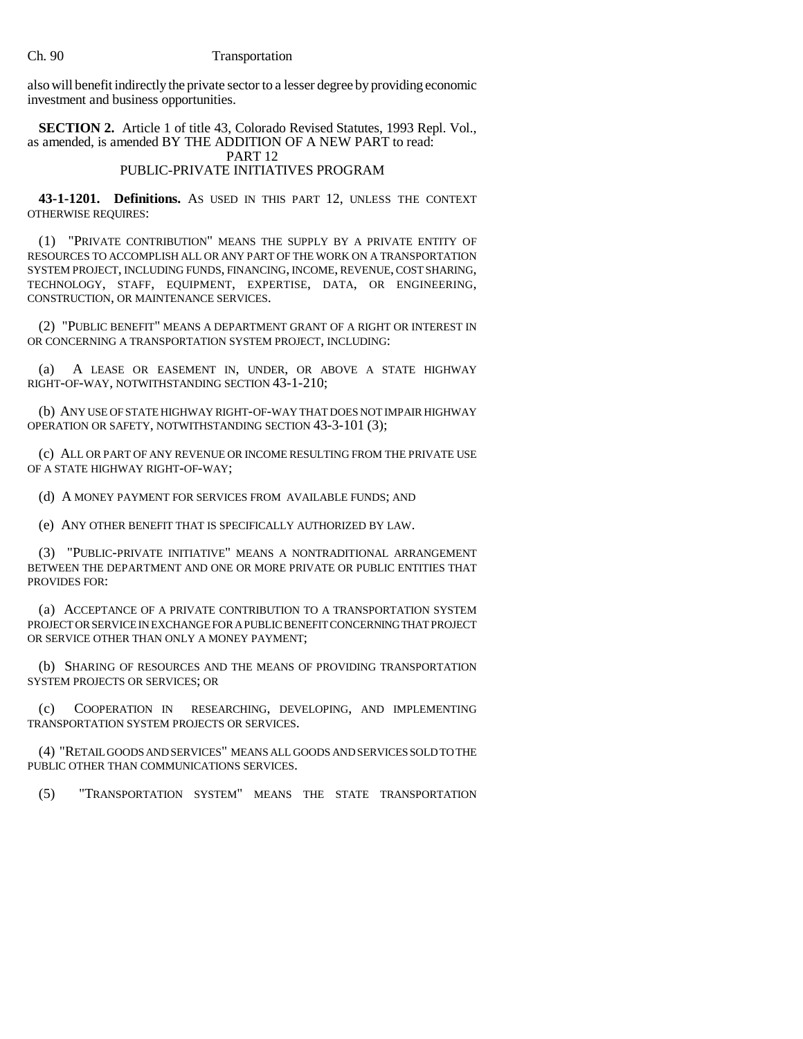### Ch. 90 Transportation

also will benefit indirectly the private sector to a lesser degree by providing economic investment and business opportunities.

**SECTION 2.** Article 1 of title 43, Colorado Revised Statutes, 1993 Repl. Vol., as amended, is amended BY THE ADDITION OF A NEW PART to read: PART 12

## PUBLIC-PRIVATE INITIATIVES PROGRAM

**43-1-1201. Definitions.** AS USED IN THIS PART 12, UNLESS THE CONTEXT OTHERWISE REQUIRES:

(1) "PRIVATE CONTRIBUTION" MEANS THE SUPPLY BY A PRIVATE ENTITY OF RESOURCES TO ACCOMPLISH ALL OR ANY PART OF THE WORK ON A TRANSPORTATION SYSTEM PROJECT, INCLUDING FUNDS, FINANCING, INCOME, REVENUE, COST SHARING, TECHNOLOGY, STAFF, EQUIPMENT, EXPERTISE, DATA, OR ENGINEERING, CONSTRUCTION, OR MAINTENANCE SERVICES.

(2) "PUBLIC BENEFIT" MEANS A DEPARTMENT GRANT OF A RIGHT OR INTEREST IN OR CONCERNING A TRANSPORTATION SYSTEM PROJECT, INCLUDING:

(a) A LEASE OR EASEMENT IN, UNDER, OR ABOVE A STATE HIGHWAY RIGHT-OF-WAY, NOTWITHSTANDING SECTION 43-1-210;

(b) ANY USE OF STATE HIGHWAY RIGHT-OF-WAY THAT DOES NOT IMPAIR HIGHWAY OPERATION OR SAFETY, NOTWITHSTANDING SECTION 43-3-101 (3);

(c) ALL OR PART OF ANY REVENUE OR INCOME RESULTING FROM THE PRIVATE USE OF A STATE HIGHWAY RIGHT-OF-WAY;

(d) A MONEY PAYMENT FOR SERVICES FROM AVAILABLE FUNDS; AND

(e) ANY OTHER BENEFIT THAT IS SPECIFICALLY AUTHORIZED BY LAW.

(3) "PUBLIC-PRIVATE INITIATIVE" MEANS A NONTRADITIONAL ARRANGEMENT BETWEEN THE DEPARTMENT AND ONE OR MORE PRIVATE OR PUBLIC ENTITIES THAT PROVIDES FOR:

(a) ACCEPTANCE OF A PRIVATE CONTRIBUTION TO A TRANSPORTATION SYSTEM PROJECT OR SERVICE IN EXCHANGE FOR A PUBLIC BENEFIT CONCERNING THAT PROJECT OR SERVICE OTHER THAN ONLY A MONEY PAYMENT;

(b) SHARING OF RESOURCES AND THE MEANS OF PROVIDING TRANSPORTATION SYSTEM PROJECTS OR SERVICES; OR

(c) COOPERATION IN RESEARCHING, DEVELOPING, AND IMPLEMENTING TRANSPORTATION SYSTEM PROJECTS OR SERVICES.

(4) "RETAIL GOODS AND SERVICES" MEANS ALL GOODS AND SERVICES SOLD TO THE PUBLIC OTHER THAN COMMUNICATIONS SERVICES.

(5) "TRANSPORTATION SYSTEM" MEANS THE STATE TRANSPORTATION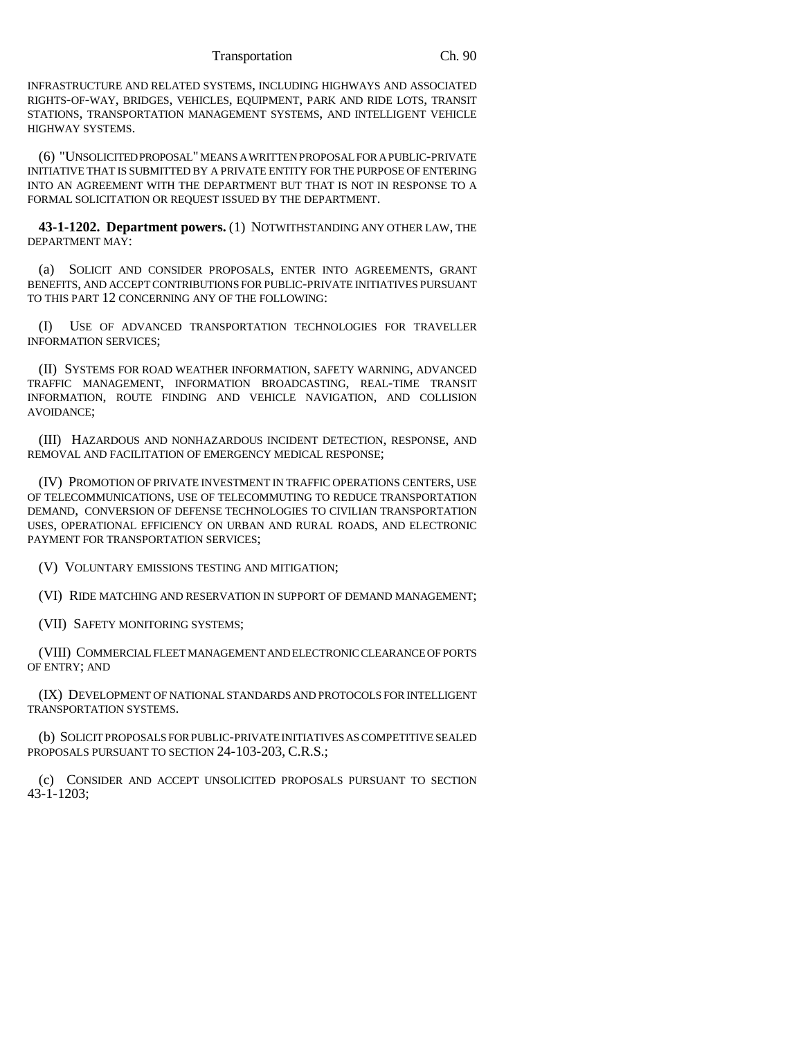Transportation Ch. 90

INFRASTRUCTURE AND RELATED SYSTEMS, INCLUDING HIGHWAYS AND ASSOCIATED RIGHTS-OF-WAY, BRIDGES, VEHICLES, EQUIPMENT, PARK AND RIDE LOTS, TRANSIT STATIONS, TRANSPORTATION MANAGEMENT SYSTEMS, AND INTELLIGENT VEHICLE HIGHWAY SYSTEMS.

(6) "UNSOLICITED PROPOSAL" MEANS A WRITTEN PROPOSAL FOR A PUBLIC-PRIVATE INITIATIVE THAT IS SUBMITTED BY A PRIVATE ENTITY FOR THE PURPOSE OF ENTERING INTO AN AGREEMENT WITH THE DEPARTMENT BUT THAT IS NOT IN RESPONSE TO A FORMAL SOLICITATION OR REQUEST ISSUED BY THE DEPARTMENT.

**43-1-1202. Department powers.** (1) NOTWITHSTANDING ANY OTHER LAW, THE DEPARTMENT MAY:

(a) SOLICIT AND CONSIDER PROPOSALS, ENTER INTO AGREEMENTS, GRANT BENEFITS, AND ACCEPT CONTRIBUTIONS FOR PUBLIC-PRIVATE INITIATIVES PURSUANT TO THIS PART 12 CONCERNING ANY OF THE FOLLOWING:

(I) USE OF ADVANCED TRANSPORTATION TECHNOLOGIES FOR TRAVELLER INFORMATION SERVICES;

(II) SYSTEMS FOR ROAD WEATHER INFORMATION, SAFETY WARNING, ADVANCED TRAFFIC MANAGEMENT, INFORMATION BROADCASTING, REAL-TIME TRANSIT INFORMATION, ROUTE FINDING AND VEHICLE NAVIGATION, AND COLLISION AVOIDANCE;

(III) HAZARDOUS AND NONHAZARDOUS INCIDENT DETECTION, RESPONSE, AND REMOVAL AND FACILITATION OF EMERGENCY MEDICAL RESPONSE;

(IV) PROMOTION OF PRIVATE INVESTMENT IN TRAFFIC OPERATIONS CENTERS, USE OF TELECOMMUNICATIONS, USE OF TELECOMMUTING TO REDUCE TRANSPORTATION DEMAND, CONVERSION OF DEFENSE TECHNOLOGIES TO CIVILIAN TRANSPORTATION USES, OPERATIONAL EFFICIENCY ON URBAN AND RURAL ROADS, AND ELECTRONIC PAYMENT FOR TRANSPORTATION SERVICES;

(V) VOLUNTARY EMISSIONS TESTING AND MITIGATION;

(VI) RIDE MATCHING AND RESERVATION IN SUPPORT OF DEMAND MANAGEMENT;

(VII) SAFETY MONITORING SYSTEMS;

(VIII) COMMERCIAL FLEET MANAGEMENT AND ELECTRONIC CLEARANCE OF PORTS OF ENTRY; AND

(IX) DEVELOPMENT OF NATIONAL STANDARDS AND PROTOCOLS FOR INTELLIGENT TRANSPORTATION SYSTEMS.

(b) SOLICIT PROPOSALS FOR PUBLIC-PRIVATE INITIATIVES AS COMPETITIVE SEALED PROPOSALS PURSUANT TO SECTION 24-103-203, C.R.S.;

(c) CONSIDER AND ACCEPT UNSOLICITED PROPOSALS PURSUANT TO SECTION 43-1-1203;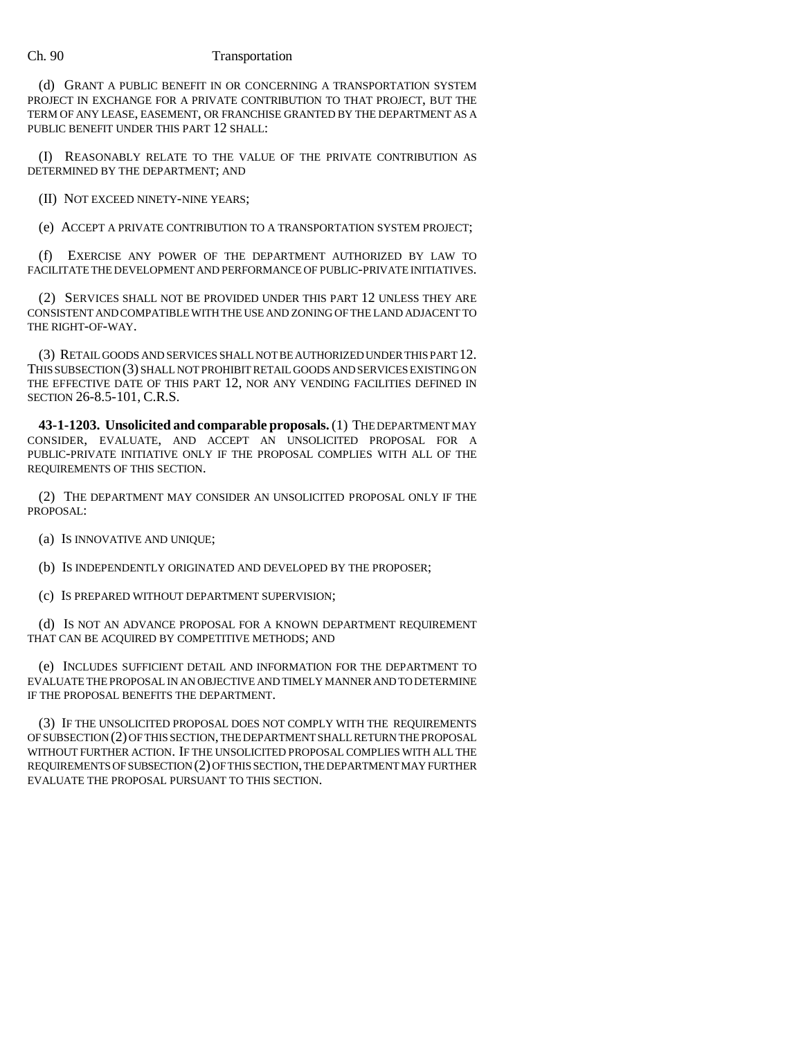## Ch. 90 Transportation

(d) GRANT A PUBLIC BENEFIT IN OR CONCERNING A TRANSPORTATION SYSTEM PROJECT IN EXCHANGE FOR A PRIVATE CONTRIBUTION TO THAT PROJECT, BUT THE TERM OF ANY LEASE, EASEMENT, OR FRANCHISE GRANTED BY THE DEPARTMENT AS A PUBLIC BENEFIT UNDER THIS PART 12 SHALL:

(I) REASONABLY RELATE TO THE VALUE OF THE PRIVATE CONTRIBUTION AS DETERMINED BY THE DEPARTMENT; AND

(II) NOT EXCEED NINETY-NINE YEARS;

(e) ACCEPT A PRIVATE CONTRIBUTION TO A TRANSPORTATION SYSTEM PROJECT;

(f) EXERCISE ANY POWER OF THE DEPARTMENT AUTHORIZED BY LAW TO FACILITATE THE DEVELOPMENT AND PERFORMANCE OF PUBLIC-PRIVATE INITIATIVES.

(2) SERVICES SHALL NOT BE PROVIDED UNDER THIS PART 12 UNLESS THEY ARE CONSISTENT AND COMPATIBLE WITH THE USE AND ZONING OF THE LAND ADJACENT TO THE RIGHT-OF-WAY.

(3) RETAIL GOODS AND SERVICES SHALL NOT BE AUTHORIZED UNDER THIS PART 12. THIS SUBSECTION (3) SHALL NOT PROHIBIT RETAIL GOODS AND SERVICES EXISTING ON THE EFFECTIVE DATE OF THIS PART 12, NOR ANY VENDING FACILITIES DEFINED IN SECTION 26-8.5-101, C.R.S.

**43-1-1203. Unsolicited and comparable proposals.** (1) THE DEPARTMENT MAY CONSIDER, EVALUATE, AND ACCEPT AN UNSOLICITED PROPOSAL FOR A PUBLIC-PRIVATE INITIATIVE ONLY IF THE PROPOSAL COMPLIES WITH ALL OF THE REQUIREMENTS OF THIS SECTION.

(2) THE DEPARTMENT MAY CONSIDER AN UNSOLICITED PROPOSAL ONLY IF THE PROPOSAL:

(a) IS INNOVATIVE AND UNIQUE;

(b) IS INDEPENDENTLY ORIGINATED AND DEVELOPED BY THE PROPOSER;

(c) IS PREPARED WITHOUT DEPARTMENT SUPERVISION;

(d) IS NOT AN ADVANCE PROPOSAL FOR A KNOWN DEPARTMENT REQUIREMENT THAT CAN BE ACQUIRED BY COMPETITIVE METHODS; AND

(e) INCLUDES SUFFICIENT DETAIL AND INFORMATION FOR THE DEPARTMENT TO EVALUATE THE PROPOSAL IN AN OBJECTIVE AND TIMELY MANNER AND TO DETERMINE IF THE PROPOSAL BENEFITS THE DEPARTMENT.

(3) IF THE UNSOLICITED PROPOSAL DOES NOT COMPLY WITH THE REQUIREMENTS OF SUBSECTION (2) OF THIS SECTION, THE DEPARTMENT SHALL RETURN THE PROPOSAL WITHOUT FURTHER ACTION. IF THE UNSOLICITED PROPOSAL COMPLIES WITH ALL THE REQUIREMENTS OF SUBSECTION (2) OF THIS SECTION, THE DEPARTMENT MAY FURTHER EVALUATE THE PROPOSAL PURSUANT TO THIS SECTION.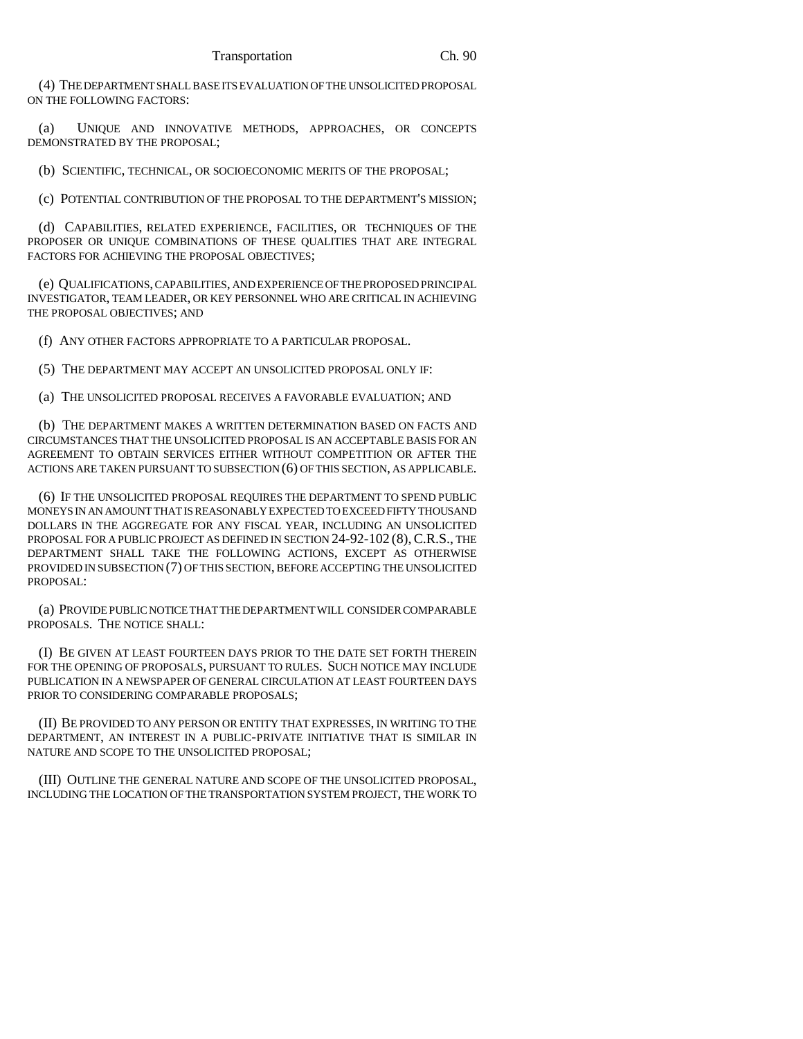(4) THE DEPARTMENT SHALL BASE ITS EVALUATION OF THE UNSOLICITED PROPOSAL ON THE FOLLOWING FACTORS:

(a) UNIQUE AND INNOVATIVE METHODS, APPROACHES, OR CONCEPTS DEMONSTRATED BY THE PROPOSAL;

(b) SCIENTIFIC, TECHNICAL, OR SOCIOECONOMIC MERITS OF THE PROPOSAL;

(c) POTENTIAL CONTRIBUTION OF THE PROPOSAL TO THE DEPARTMENT'S MISSION;

(d) CAPABILITIES, RELATED EXPERIENCE, FACILITIES, OR TECHNIQUES OF THE PROPOSER OR UNIQUE COMBINATIONS OF THESE QUALITIES THAT ARE INTEGRAL FACTORS FOR ACHIEVING THE PROPOSAL OBJECTIVES;

(e) QUALIFICATIONS, CAPABILITIES, AND EXPERIENCE OF THE PROPOSED PRINCIPAL INVESTIGATOR, TEAM LEADER, OR KEY PERSONNEL WHO ARE CRITICAL IN ACHIEVING THE PROPOSAL OBJECTIVES; AND

(f) ANY OTHER FACTORS APPROPRIATE TO A PARTICULAR PROPOSAL.

(5) THE DEPARTMENT MAY ACCEPT AN UNSOLICITED PROPOSAL ONLY IF:

(a) THE UNSOLICITED PROPOSAL RECEIVES A FAVORABLE EVALUATION; AND

(b) THE DEPARTMENT MAKES A WRITTEN DETERMINATION BASED ON FACTS AND CIRCUMSTANCES THAT THE UNSOLICITED PROPOSAL IS AN ACCEPTABLE BASIS FOR AN AGREEMENT TO OBTAIN SERVICES EITHER WITHOUT COMPETITION OR AFTER THE ACTIONS ARE TAKEN PURSUANT TO SUBSECTION (6) OF THIS SECTION, AS APPLICABLE.

(6) IF THE UNSOLICITED PROPOSAL REQUIRES THE DEPARTMENT TO SPEND PUBLIC MONEYS IN AN AMOUNT THAT IS REASONABLY EXPECTED TO EXCEED FIFTY THOUSAND DOLLARS IN THE AGGREGATE FOR ANY FISCAL YEAR, INCLUDING AN UNSOLICITED PROPOSAL FOR A PUBLIC PROJECT AS DEFINED IN SECTION 24-92-102 (8), C.R.S., THE DEPARTMENT SHALL TAKE THE FOLLOWING ACTIONS, EXCEPT AS OTHERWISE PROVIDED IN SUBSECTION (7) OF THIS SECTION, BEFORE ACCEPTING THE UNSOLICITED PROPOSAL:

(a) PROVIDE PUBLIC NOTICE THAT THE DEPARTMENT WILL CONSIDER COMPARABLE PROPOSALS. THE NOTICE SHALL:

(I) BE GIVEN AT LEAST FOURTEEN DAYS PRIOR TO THE DATE SET FORTH THEREIN FOR THE OPENING OF PROPOSALS, PURSUANT TO RULES. SUCH NOTICE MAY INCLUDE PUBLICATION IN A NEWSPAPER OF GENERAL CIRCULATION AT LEAST FOURTEEN DAYS PRIOR TO CONSIDERING COMPARABLE PROPOSALS;

(II) BE PROVIDED TO ANY PERSON OR ENTITY THAT EXPRESSES, IN WRITING TO THE DEPARTMENT, AN INTEREST IN A PUBLIC-PRIVATE INITIATIVE THAT IS SIMILAR IN NATURE AND SCOPE TO THE UNSOLICITED PROPOSAL;

(III) OUTLINE THE GENERAL NATURE AND SCOPE OF THE UNSOLICITED PROPOSAL, INCLUDING THE LOCATION OF THE TRANSPORTATION SYSTEM PROJECT, THE WORK TO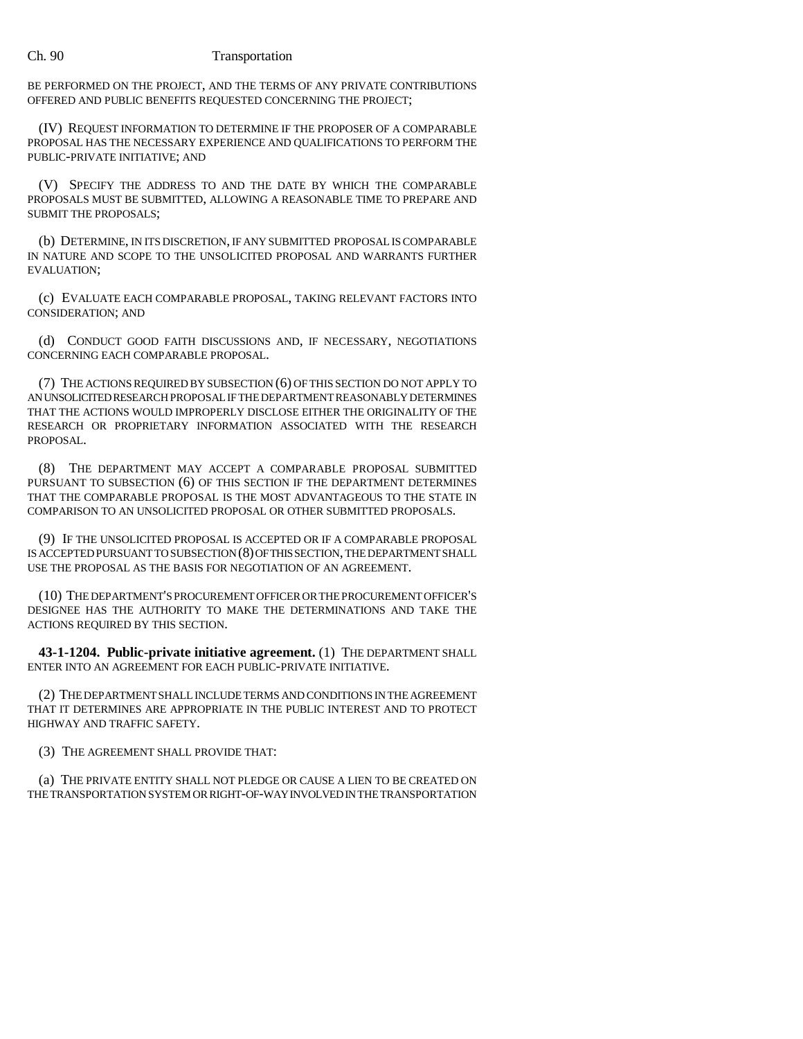## Ch. 90 Transportation

BE PERFORMED ON THE PROJECT, AND THE TERMS OF ANY PRIVATE CONTRIBUTIONS OFFERED AND PUBLIC BENEFITS REQUESTED CONCERNING THE PROJECT;

(IV) REQUEST INFORMATION TO DETERMINE IF THE PROPOSER OF A COMPARABLE PROPOSAL HAS THE NECESSARY EXPERIENCE AND QUALIFICATIONS TO PERFORM THE PUBLIC-PRIVATE INITIATIVE; AND

(V) SPECIFY THE ADDRESS TO AND THE DATE BY WHICH THE COMPARABLE PROPOSALS MUST BE SUBMITTED, ALLOWING A REASONABLE TIME TO PREPARE AND SUBMIT THE PROPOSALS;

(b) DETERMINE, IN ITS DISCRETION, IF ANY SUBMITTED PROPOSAL IS COMPARABLE IN NATURE AND SCOPE TO THE UNSOLICITED PROPOSAL AND WARRANTS FURTHER EVALUATION;

(c) EVALUATE EACH COMPARABLE PROPOSAL, TAKING RELEVANT FACTORS INTO CONSIDERATION; AND

(d) CONDUCT GOOD FAITH DISCUSSIONS AND, IF NECESSARY, NEGOTIATIONS CONCERNING EACH COMPARABLE PROPOSAL.

(7) THE ACTIONS REQUIRED BY SUBSECTION (6) OF THIS SECTION DO NOT APPLY TO AN UNSOLICITED RESEARCH PROPOSAL IF THE DEPARTMENT REASONABLY DETERMINES THAT THE ACTIONS WOULD IMPROPERLY DISCLOSE EITHER THE ORIGINALITY OF THE RESEARCH OR PROPRIETARY INFORMATION ASSOCIATED WITH THE RESEARCH PROPOSAL.

(8) THE DEPARTMENT MAY ACCEPT A COMPARABLE PROPOSAL SUBMITTED PURSUANT TO SUBSECTION (6) OF THIS SECTION IF THE DEPARTMENT DETERMINES THAT THE COMPARABLE PROPOSAL IS THE MOST ADVANTAGEOUS TO THE STATE IN COMPARISON TO AN UNSOLICITED PROPOSAL OR OTHER SUBMITTED PROPOSALS.

(9) IF THE UNSOLICITED PROPOSAL IS ACCEPTED OR IF A COMPARABLE PROPOSAL IS ACCEPTED PURSUANT TO SUBSECTION (8) OF THIS SECTION, THE DEPARTMENT SHALL USE THE PROPOSAL AS THE BASIS FOR NEGOTIATION OF AN AGREEMENT.

(10) THE DEPARTMENT'S PROCUREMENT OFFICER OR THE PROCUREMENT OFFICER'S DESIGNEE HAS THE AUTHORITY TO MAKE THE DETERMINATIONS AND TAKE THE ACTIONS REQUIRED BY THIS SECTION.

**43-1-1204. Public-private initiative agreement.** (1) THE DEPARTMENT SHALL ENTER INTO AN AGREEMENT FOR EACH PUBLIC-PRIVATE INITIATIVE.

(2) THE DEPARTMENT SHALL INCLUDE TERMS AND CONDITIONS IN THE AGREEMENT THAT IT DETERMINES ARE APPROPRIATE IN THE PUBLIC INTEREST AND TO PROTECT HIGHWAY AND TRAFFIC SAFETY.

(3) THE AGREEMENT SHALL PROVIDE THAT:

(a) THE PRIVATE ENTITY SHALL NOT PLEDGE OR CAUSE A LIEN TO BE CREATED ON THE TRANSPORTATION SYSTEM OR RIGHT-OF-WAY INVOLVED IN THE TRANSPORTATION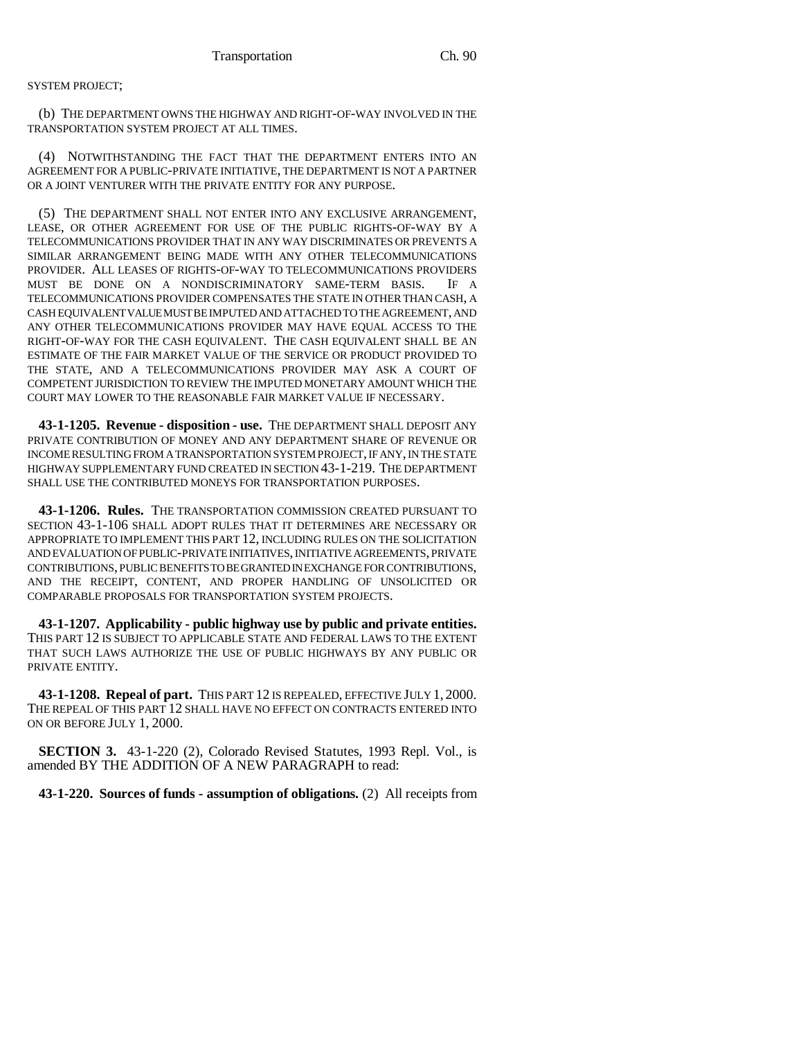## SYSTEM PROJECT;

(b) THE DEPARTMENT OWNS THE HIGHWAY AND RIGHT-OF-WAY INVOLVED IN THE TRANSPORTATION SYSTEM PROJECT AT ALL TIMES.

(4) NOTWITHSTANDING THE FACT THAT THE DEPARTMENT ENTERS INTO AN AGREEMENT FOR A PUBLIC-PRIVATE INITIATIVE, THE DEPARTMENT IS NOT A PARTNER OR A JOINT VENTURER WITH THE PRIVATE ENTITY FOR ANY PURPOSE.

(5) THE DEPARTMENT SHALL NOT ENTER INTO ANY EXCLUSIVE ARRANGEMENT, LEASE, OR OTHER AGREEMENT FOR USE OF THE PUBLIC RIGHTS-OF-WAY BY A TELECOMMUNICATIONS PROVIDER THAT IN ANY WAY DISCRIMINATES OR PREVENTS A SIMILAR ARRANGEMENT BEING MADE WITH ANY OTHER TELECOMMUNICATIONS PROVIDER. ALL LEASES OF RIGHTS-OF-WAY TO TELECOMMUNICATIONS PROVIDERS MUST BE DONE ON A NONDISCRIMINATORY SAME-TERM BASIS. IF A TELECOMMUNICATIONS PROVIDER COMPENSATES THE STATE IN OTHER THAN CASH, A CASH EQUIVALENT VALUE MUST BE IMPUTED AND ATTACHED TO THE AGREEMENT, AND ANY OTHER TELECOMMUNICATIONS PROVIDER MAY HAVE EQUAL ACCESS TO THE RIGHT-OF-WAY FOR THE CASH EQUIVALENT. THE CASH EQUIVALENT SHALL BE AN ESTIMATE OF THE FAIR MARKET VALUE OF THE SERVICE OR PRODUCT PROVIDED TO THE STATE, AND A TELECOMMUNICATIONS PROVIDER MAY ASK A COURT OF COMPETENT JURISDICTION TO REVIEW THE IMPUTED MONETARY AMOUNT WHICH THE COURT MAY LOWER TO THE REASONABLE FAIR MARKET VALUE IF NECESSARY.

**43-1-1205. Revenue - disposition - use.** THE DEPARTMENT SHALL DEPOSIT ANY PRIVATE CONTRIBUTION OF MONEY AND ANY DEPARTMENT SHARE OF REVENUE OR INCOME RESULTING FROM A TRANSPORTATION SYSTEM PROJECT, IF ANY, IN THE STATE HIGHWAY SUPPLEMENTARY FUND CREATED IN SECTION 43-1-219. THE DEPARTMENT SHALL USE THE CONTRIBUTED MONEYS FOR TRANSPORTATION PURPOSES.

**43-1-1206. Rules.** THE TRANSPORTATION COMMISSION CREATED PURSUANT TO SECTION 43-1-106 SHALL ADOPT RULES THAT IT DETERMINES ARE NECESSARY OR APPROPRIATE TO IMPLEMENT THIS PART 12, INCLUDING RULES ON THE SOLICITATION AND EVALUATION OF PUBLIC-PRIVATE INITIATIVES, INITIATIVE AGREEMENTS, PRIVATE CONTRIBUTIONS, PUBLIC BENEFITS TO BE GRANTED IN EXCHANGE FOR CONTRIBUTIONS, AND THE RECEIPT, CONTENT, AND PROPER HANDLING OF UNSOLICITED OR COMPARABLE PROPOSALS FOR TRANSPORTATION SYSTEM PROJECTS.

**43-1-1207. Applicability - public highway use by public and private entities.** THIS PART 12 IS SUBJECT TO APPLICABLE STATE AND FEDERAL LAWS TO THE EXTENT THAT SUCH LAWS AUTHORIZE THE USE OF PUBLIC HIGHWAYS BY ANY PUBLIC OR PRIVATE ENTITY.

**43-1-1208. Repeal of part.** THIS PART 12 IS REPEALED, EFFECTIVE JULY 1, 2000. THE REPEAL OF THIS PART 12 SHALL HAVE NO EFFECT ON CONTRACTS ENTERED INTO ON OR BEFORE JULY 1, 2000.

**SECTION 3.** 43-1-220 (2), Colorado Revised Statutes, 1993 Repl. Vol., is amended BY THE ADDITION OF A NEW PARAGRAPH to read:

**43-1-220. Sources of funds - assumption of obligations.** (2) All receipts from